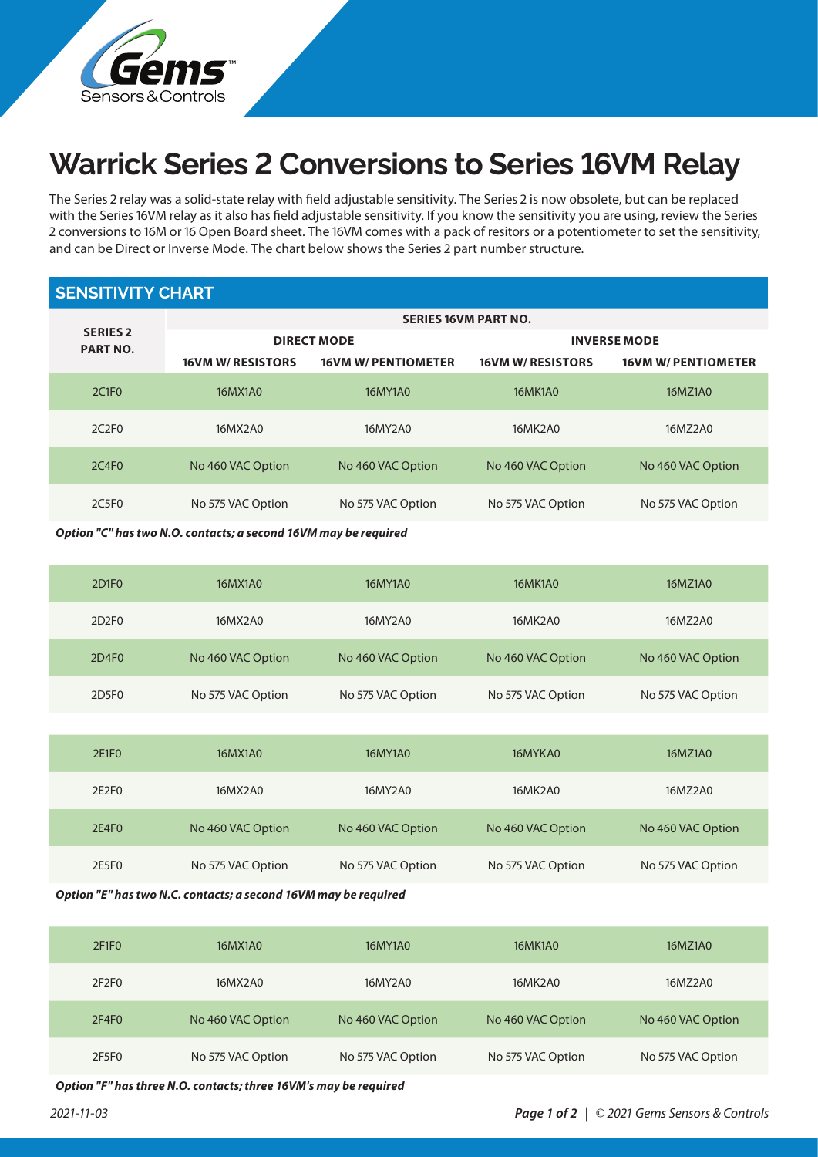

## **Warrick Series 2 Conversions to Series 16VM Relay**

The Series 2 relay was a solid-state relay with field adjustable sensitivity. The Series 2 is now obsolete, but can be replaced with the Series 16VM relay as it also has field adjustable sensitivity. If you know the sensitivity you are using, review the Series 2 conversions to 16M or 16 Open Board sheet. The 16VM comes with a pack of resitors or a potentiometer to set the sensitivity, and can be Direct or Inverse Mode. The chart below shows the Series 2 part number structure.

## **SENSITIVITY CHART**

|                                    | <b>SERIES 16VM PART NO.</b> |                            |                          |                            |  |  |  |
|------------------------------------|-----------------------------|----------------------------|--------------------------|----------------------------|--|--|--|
| <b>SERIES 2</b><br><b>PART NO.</b> |                             | <b>DIRECT MODE</b>         | <b>INVERSE MODE</b>      |                            |  |  |  |
|                                    | <b>16VM W/ RESISTORS</b>    | <b>16VM W/ PENTIOMETER</b> | <b>16VM W/ RESISTORS</b> | <b>16VM W/ PENTIOMETER</b> |  |  |  |
| 2C1F0                              | 16MX1A0                     | 16MY1A0                    | 16MK1A0                  | 16MZ1A0                    |  |  |  |
| 2C2F0                              | 16MX2A0                     | 16MY2A0                    | 16MK2A0                  | 16MZ2A0                    |  |  |  |
| 2C4F0                              | No 460 VAC Option           | No 460 VAC Option          | No 460 VAC Option        | No 460 VAC Option          |  |  |  |
| 2C5F0                              | No 575 VAC Option           | No 575 VAC Option          | No 575 VAC Option        | No 575 VAC Option          |  |  |  |

*Option "C" has two N.O. contacts; a second 16VM may be required*

| 2D <sub>1</sub> F <sub>0</sub> | 16MX1A0           | 16MY1A0           | 16MK1A0           | 16MZ1A0           |
|--------------------------------|-------------------|-------------------|-------------------|-------------------|
| 2D <sub>2F0</sub>              | 16MX2A0           | 16MY2A0           | 16MK2A0           | 16MZ2A0           |
| 2D4F0                          | No 460 VAC Option | No 460 VAC Option | No 460 VAC Option | No 460 VAC Option |
| 2D5F0                          | No 575 VAC Option | No 575 VAC Option | No 575 VAC Option | No 575 VAC Option |

| 2E1F0 | 16MX1A0           | 16MY1A0           | 16MYKA0           | 16MZ1A0           |
|-------|-------------------|-------------------|-------------------|-------------------|
| 2E2F0 | 16MX2A0           | 16MY2A0           | 16MK2A0           | 16MZ2A0           |
| 2E4F0 | No 460 VAC Option | No 460 VAC Option | No 460 VAC Option | No 460 VAC Option |
| 2E5F0 | No 575 VAC Option | No 575 VAC Option | No 575 VAC Option | No 575 VAC Option |

*Option "E" has two N.C. contacts; a second 16VM may be required*

| 2F1F0 | 16MX1A0           | 16MY1A0           | <b>16MK1A0</b>    | 16MZ1A0           |
|-------|-------------------|-------------------|-------------------|-------------------|
| 2F2F0 | 16MX2A0           | 16MY2A0           | 16MK2A0           | 16MZ2A0           |
| 2F4F0 | No 460 VAC Option | No 460 VAC Option | No 460 VAC Option | No 460 VAC Option |
| 2F5F0 | No 575 VAC Option | No 575 VAC Option | No 575 VAC Option | No 575 VAC Option |

*Option "F" has three N.O. contacts; three 16VM's may be required*